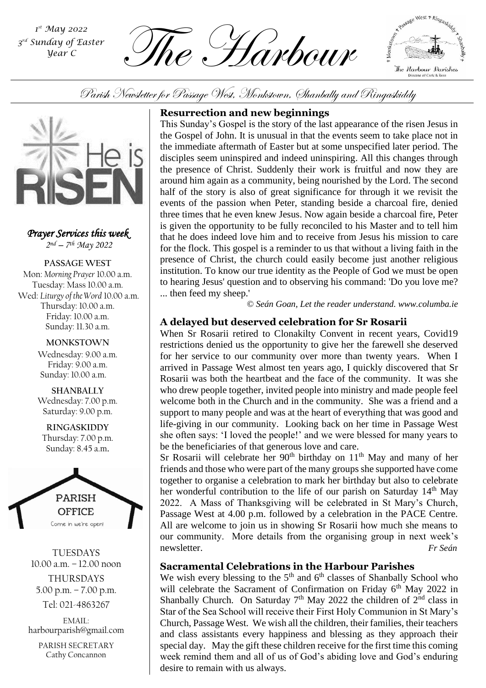*st May 2022 3 rd Sunday of Easter Year C*

The Harbour *<sup>1</sup>*



Parish Newsletter for Passage West, Monkstown, Shanbally and Ringaskiddy



*Prayer Services this week 2 nd – 7 th May 2022*

**PASSAGE WEST** Mon: *Morning Prayer* 10.00 a.m. Tuesday: Mass 10.00 a.m. Wed: *Liturgy of the Word* 10.00 a.m. Thursday: 10.00 a.m. Friday: 10.00 a.m. Sunday: 11.30 a.m.

#### **MONKSTOWN**

Wednesday: 9.00 a.m. Friday: 9.00 a.m. Sunday: 10.00 a.m.

**SHANBALLY** Wednesday: 7.00 p.m. Saturday: 9.00 p.m.

**RINGASKIDDY** Thursday: 7.00 p.m. Sunday: 8.45 a.m.



TUESDAYS 10.00 a.m. – 12.00 noon THURSDAYS 5.00 p.m. – 7.00 p.m.

Tel: 021-4863267

EMAIL: harbourparish@gmail.com

PARISH SECRETARY Cathy Concannon

# **Resurrection and new beginnings**

This Sunday's Gospel is the story of the last appearance of the risen Jesus in the Gospel of John. It is unusual in that the events seem to take place not in the immediate aftermath of Easter but at some unspecified later period. The disciples seem uninspired and indeed uninspiring. All this changes through the presence of Christ. Suddenly their work is fruitful and now they are around him again as a community, being nourished by the Lord. The second half of the story is also of great significance for through it we revisit the events of the passion when Peter, standing beside a charcoal fire, denied three times that he even knew Jesus. Now again beside a charcoal fire, Peter is given the opportunity to be fully reconciled to his Master and to tell him that he does indeed love him and to receive from Jesus his mission to care for the flock. This gospel is a reminder to us that without a living faith in the presence of Christ, the church could easily become just another religious institution. To know our true identity as the People of God we must be open to hearing Jesus' question and to observing his command: 'Do you love me? ... then feed my sheep.'

*© Seán Goan, Let the reader understand. www.columba.ie*

# **A delayed but deserved celebration for Sr Rosarii**

support to many people and was at the heart of everything that was good and When Sr Rosarii retired to Clonakilty Convent in recent years, Covid19 restrictions denied us the opportunity to give her the farewell she deserved for her service to our community over more than twenty years. When I arrived in Passage West almost ten years ago, I quickly discovered that Sr Rosarii was both the heartbeat and the face of the community. It was she who drew people together, invited people into ministry and made people feel welcome both in the Church and in the community. She was a friend and a life-giving in our community. Looking back on her time in Passage West she often says: 'I loved the people!' and we were blessed for many years to be the beneficiaries of that generous love and care.

Sr Rosarii will celebrate her  $90<sup>th</sup>$  birthday on  $11<sup>th</sup>$  May and many of her friends and those who were part of the many groups she supported have come together to organise a celebration to mark her birthday but also to celebrate her wonderful contribution to the life of our parish on Saturday  $14<sup>th</sup>$  May 2022. A Mass of Thanksgiving will be celebrated in St Mary's Church, Passage West at 4.00 p.m. followed by a celebration in the PACE Centre. All are welcome to join us in showing Sr Rosarii how much she means to our community. More details from the organising group in next week's newsletter. *Fr Seán* 

# **Sacramental Celebrations in the Harbour Parishes**

We wish every blessing to the  $5<sup>th</sup>$  and  $6<sup>th</sup>$  classes of Shanbally School who will celebrate the Sacrament of Confirmation on Friday 6<sup>th</sup> May 2022 in Shanbally Church. On Saturday  $7<sup>th</sup>$  May 2022 the children of  $2<sup>nd</sup>$  class in Star of the Sea School will receive their First Holy Communion in St Mary's Church, Passage West. We wish all the children, their families, their teachers and class assistants every happiness and blessing as they approach their special day. May the gift these children receive for the first time this coming week remind them and all of us of God's abiding love and God's enduring desire to remain with us always.